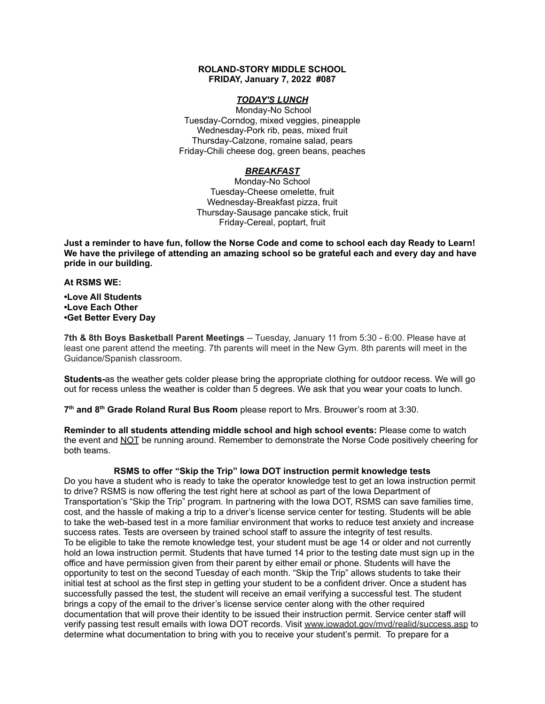#### **ROLAND-STORY MIDDLE SCHOOL FRIDAY, January 7, 2022 #087**

## *TODAY'S LUNCH*

Monday-No School Tuesday-Corndog, mixed veggies, pineapple Wednesday-Pork rib, peas, mixed fruit Thursday-Calzone, romaine salad, pears Friday-Chili cheese dog, green beans, peaches

## *BREAKFAST*

Monday-No School Tuesday-Cheese omelette, fruit Wednesday-Breakfast pizza, fruit Thursday-Sausage pancake stick, fruit Friday-Cereal, poptart, fruit

Just a reminder to have fun, follow the Norse Code and come to school each day Ready to Learn! **We have the privilege of attending an amazing school so be grateful each and every day and have pride in our building.**

#### **At RSMS WE:**

#### **•Love All Students •Love Each Other •Get Better Every Day**

**7th & 8th Boys Basketball Parent Meetings** -- Tuesday, January 11 from 5:30 - 6:00. Please have at least one parent attend the meeting. 7th parents will meet in the New Gym. 8th parents will meet in the Guidance/Spanish classroom.

**Students-**as the weather gets colder please bring the appropriate clothing for outdoor recess. We will go out for recess unless the weather is colder than 5 degrees. We ask that you wear your coats to lunch.

**7 th and 8 th Grade Roland Rural Bus Room** please report to Mrs. Brouwer's room at 3:30.

**Reminder to all students attending middle school and high school events:** Please come to watch the event and NOT be running around. Remember to demonstrate the Norse Code positively cheering for both teams.

# **RSMS to offer "Skip the Trip" Iowa DOT instruction permit knowledge tests**

Do you have a student who is ready to take the operator knowledge test to get an Iowa instruction permit to drive? RSMS is now offering the test right here at school as part of the Iowa Department of Transportation's "Skip the Trip" program. In partnering with the Iowa DOT, RSMS can save families time, cost, and the hassle of making a trip to a driver's license service center for testing. Students will be able to take the web-based test in a more familiar environment that works to reduce test anxiety and increase success rates. Tests are overseen by trained school staff to assure the integrity of test results. To be eligible to take the remote knowledge test, your student must be age 14 or older and not currently hold an Iowa instruction permit. Students that have turned 14 prior to the testing date must sign up in the office and have permission given from their parent by either email or phone. Students will have the opportunity to test on the second Tuesday of each month. "Skip the Trip" allows students to take their initial test at school as the first step in getting your student to be a confident driver. Once a student has successfully passed the test, the student will receive an email verifying a successful test. The student brings a copy of the email to the driver's license service center along with the other required documentation that will prove their identity to be issued their instruction permit. Service center staff will verify passing test result emails with Iowa DOT records. Visit [www.iowadot.gov/mvd/realid/success.asp](http://www.iowadot.gov/mvd/realid/success.asp) to determine what documentation to bring with you to receive your student's permit. To prepare for a